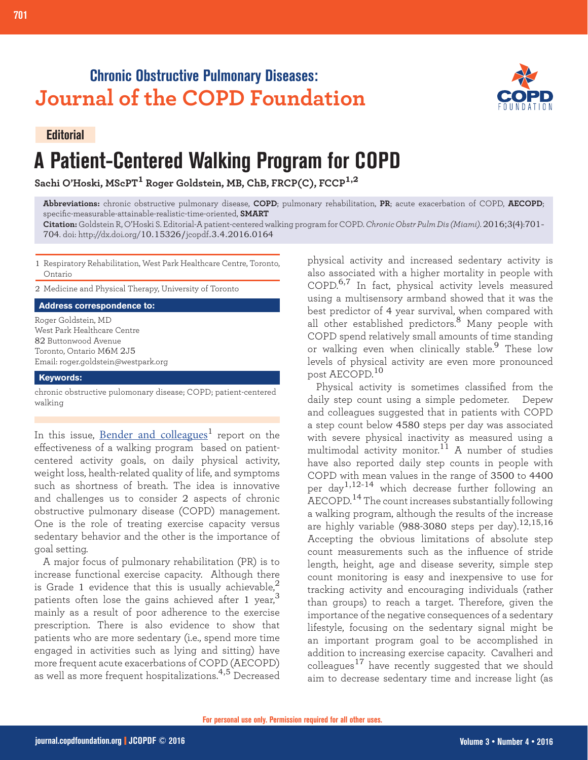# **Chronic Obstructive Pulmonary Diseases: Journal of the COPD Foundation**



### **Editorial**

**701 Editorial: Patient-Centered Walking Program**

# **A Patient-Centered Walking Program for COPD**

**Sachi O'Hoski, MScPT1 Roger Goldstein, MB, ChB, FRCP(C), FCCP1,2**

**Abbreviations:** chronic obstructive pulmonary disease, **COPD**; pulmonary rehabilitation, **PR**; acute exacerbation of COPD, **AECOPD**; specific-measurable-attainable-realistic-time-oriented, **SMART**

**Citation:** Goldstein R, O'Hoski S. Editorial-A patient-centered walking program for COPD. *Chronic Obstr Pulm Dis (Miami)*. 2016;3(4):701- 704. doi: http://dx.doi.org/10.15326/jcopdf.3.4.2016.0164

1 Respiratory Rehabilitation, West Park Healthcare Centre, Toronto, Ontario

2 Medicine and Physical Therapy, University of Toronto

**Address correspondence to:**

Roger Goldstein, MD West Park Healthcare Centre 82 Buttonwood Avenue Toronto, Ontario M6M 2J5 Email: roger.goldstein@westpark.org

#### **Keywords:**

chronic obstructive pulomonary disease; COPD; patient-centered walking

In this issue, [Bender and colleagues](http://journal.copdfoundation.org/jcopdf/id/1129/A-Patient-Centered-Walking-Program-for-COPD)<sup>1</sup> report on the effectiveness of a walking program based on patientcentered activity goals, on daily physical activity, weight loss, health-related quality of life, and symptoms such as shortness of breath. The idea is innovative and challenges us to consider 2 aspects of chronic obstructive pulmonary disease (COPD) management. One is the role of treating exercise capacity versus sedentary behavior and the other is the importance of goal setting.

A major focus of pulmonary rehabilitation (PR) is to increase functional exercise capacity. Although there is Grade 1 evidence that this is usually achievable,<sup>2</sup> patients often lose the gains achieved after 1 year,<sup>3</sup> mainly as a result of poor adherence to the exercise prescription. There is also evidence to show that patients who are more sedentary (i.e., spend more time engaged in activities such as lying and sitting) have more frequent acute exacerbations of COPD (AECOPD) as well as more frequent hospitalizations.<sup>4,5</sup> Decreased

physical activity and increased sedentary activity is also associated with a higher mortality in people with COPD.<sup>6,7</sup> In fact, physical activity levels measured using a multisensory armband showed that it was the best predictor of 4 year survival, when compared with all other established predictors.<sup>8</sup> Many people with COPD spend relatively small amounts of time standing or *b* optimal contributions, corresponding the stable.<sup>9</sup> These low levels of physical activity are even more pronounced post AECOPD.<sup>10</sup>

Physical activity is sometimes classified from the daily step count using a simple pedometer. Depew and colleagues suggested that in patients with COPD a step count below 4580 steps per day was associated with severe physical inactivity as measured using a multimodal activity monitor.<sup>11</sup> A number of studies have also reported daily step counts in people with COPD with mean values in the range of 3500 to 4400 per day<sup>1,12-14</sup> which decrease further following an AECOPD.14 The count increases substantially following a walking program, although the results of the increase are highly variable (988-3080 steps per day).<sup>12,15,16</sup> Accepting the obvious limitations of absolute step count measurements such as the influence of stride length, height, age and disease severity, simple step count monitoring is easy and inexpensive to use for tracking activity and encouraging individuals (rather than groups) to reach a target. Therefore, given the importance of the negative consequences of a sedentary lifestyle, focusing on the sedentary signal might be an important program goal to be accomplished in addition to increasing exercise capacity. Cavalheri and colleagues<sup>17</sup> have recently suggested that we should aim to decrease sedentary time and increase light (as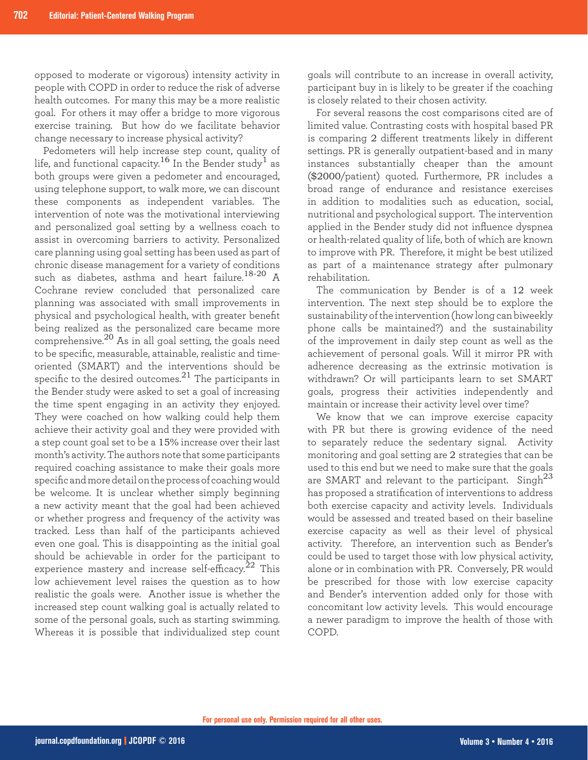opposed to moderate or vigorous) intensity activity in people with COPD in order to reduce the risk of adverse health outcomes. For many this may be a more realistic goal. For others it may offer a bridge to more vigorous exercise training. But how do we facilitate behavior change necessary to increase physical activity?

Pedometers will help increase step count, quality of life, and functional capacity.<sup>16</sup> In the Bender study<sup>1</sup> as both groups were given a pedometer and encouraged, using telephone support, to walk more, we can discount these components as independent variables. The intervention of note was the motivational interviewing and personalized goal setting by a wellness coach to assist in overcoming barriers to activity. Personalized care planning using goal setting has been used as part of chronic disease management for a variety of conditions such as diabetes, asthma and heart failure.<sup>18-20</sup> A Cochrane review concluded that personalized care planning was associated with small improvements in physical and psychological health, with greater benefit being realized as the personalized care became more comprehensive.<sup>20</sup> As in all goal setting, the goals need to be specific, measurable, attainable, realistic and timeoriented (SMART) and the interventions should be specific to the desired outcomes.<sup>21</sup> The participants in the Bender study were asked to set a goal of increasing the time spent engaging in an activity they enjoyed. They were coached on how walking could help them achieve their activity goal and they were provided with a step count goal set to be a 15% increase over their last month's activity. The authors note that some participants required coaching assistance to make their goals more specific and more detail on the process of coaching would be welcome. It is unclear whether simply beginning a new activity meant that the goal had been achieved or whether progress and frequency of the activity was tracked. Less than half of the participants achieved even one goal. This is disappointing as the initial goal should be achievable in order for the participant to experience mastery and increase self-efficacy.<sup>22</sup> This low achievement level raises the question as to how realistic the goals were. Another issue is whether the increased step count walking goal is actually related to some of the personal goals, such as starting swimming. Whereas it is possible that individualized step count goals will contribute to an increase in overall activity, participant buy in is likely to be greater if the coaching is closely related to their chosen activity.

For several reasons the cost comparisons cited are of limited value. Contrasting costs with hospital based PR is comparing 2 different treatments likely in different settings. PR is generally outpatient-based and in many instances substantially cheaper than the amount (\$2000/patient) quoted. Furthermore, PR includes a broad range of endurance and resistance exercises in addition to modalities such as education, social, nutritional and psychological support. The intervention applied in the Bender study did not influence dyspnea or health-related quality of life, both of which are known to improve with PR. Therefore, it might be best utilized as part of a maintenance strategy after pulmonary rehabilitation.

The communication by Bender is of a 12 week intervention. The next step should be to explore the sustainability of the intervention (how long can biweekly phone calls be maintained?) and the sustainability of the improvement in daily step count as well as the achievement of personal goals. Will it mirror PR with adherence decreasing as the extrinsic motivation is withdrawn? Or will participants learn to set SMART goals, progress their activities independently and maintain or increase their activity level over time?

We know that we can improve exercise capacity with PR but there is growing evidence of the need to separately reduce the sedentary signal. Activity monitoring and goal setting are 2 strategies that can be used to this end but we need to make sure that the goals are SMART and relevant to the participant. Singh<sup>23</sup> has proposed a stratification of interventions to address both exercise capacity and activity levels. Individuals would be assessed and treated based on their baseline exercise capacity as well as their level of physical activity. Therefore, an intervention such as Bender's could be used to target those with low physical activity, alone or in combination with PR. Conversely, PR would be prescribed for those with low exercise capacity and Bender's intervention added only for those with concomitant low activity levels. This would encourage a newer paradigm to improve the health of those with COPD.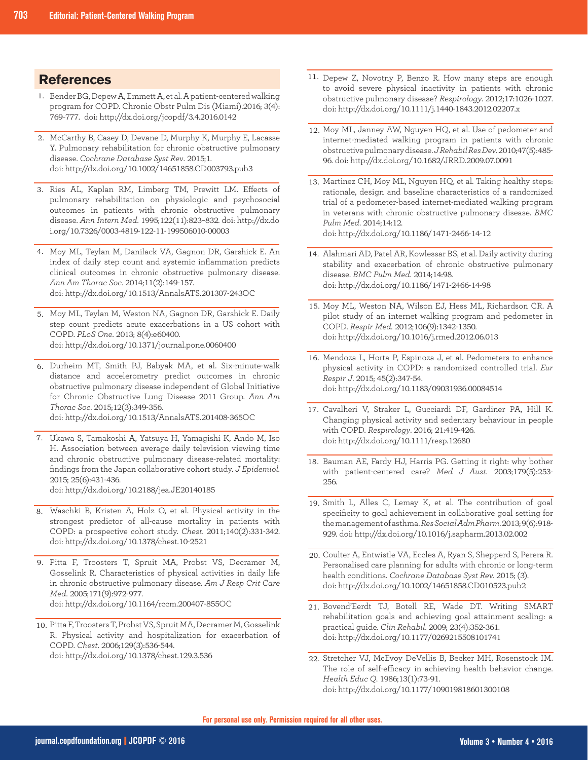## **References**

- 1. Bender BG, Depew A, Emmett A, et al. A patient-centered walking program for COPD. Chronic Obstr Pulm Dis (Miami).2016; 3(4): 769-777. doi: http://dx.doi.org/jcopdf/3.4.2016.0142
- McCarthy B, Casey D, Devane D, Murphy K, Murphy E, Lacasse 2. Y. Pulmonary rehabilitation for chronic obstructive pulmonary disease. *Cochrane Database Syst Rev*. 2015;1. doi: http://dx.doi.org/10.1002/14651858.CD003793.pub3
- 3. Ries AL, Kaplan RM, Limberg TM, Prewitt LM. Effects of pulmonary rehabilitation on physiologic and psychosocial outcomes in patients with chronic obstructive pulmonary disease. *Ann Intern Med*. 1995;122(11):823–832. doi: http://dx.do i.org/10.7326/0003-4819-122-11-199506010-00003
- 4. Moy ML, Teylan M, Danilack VA, Gagnon DR, Garshick E. An index of daily step count and systemic inflammation predicts clinical outcomes in chronic obstructive pulmonary disease. *Ann Am Thorac Soc.* 2014;11(2):149-157. doi: http://dx.doi.org/10.1513/AnnalsATS.201307-243OC
- 5. Moy ML, Teylan M, Weston NA, Gagnon DR, Garshick E. Daily step count predicts acute exacerbations in a US cohort with COPD. *PLoS One*. 2013; 8(4):e60400. doi: http://dx.doi.org/10.1371/journal.pone.0060400
- Durheim MT, Smith PJ, Babyak MA, et al. Six-minute-walk 6. distance and accelerometry predict outcomes in chronic obstructive pulmonary disease independent of Global Initiative for Chronic Obstructive Lung Disease 2011 Group. *Ann Am Thorac Soc*. 2015;12(3):349-356. doi: http://dx.doi.org/10.1513/AnnalsATS.201408-365OC
	-
- Ukawa S, Tamakoshi A, Yatsuya H, Yamagishi K, Ando M, Iso 7. H. Association between average daily television viewing time and chronic obstructive pulmonary disease-related mortality: findings from the Japan collaborative cohort study. *J Epidemiol.* 2015; 25(6):431-436. doi: http://dx.doi.org/10.2188/jea.JE20140185
- Waschki B, Kristen A, Holz O, et al. Physical activity in the 8. strongest predictor of all-cause mortality in patients with COPD: a prospective cohort study. *Chest*. 2011;140(2):331-342. doi: http://dx.doi.org/10.1378/chest.10-2521
- 9. Pitta F, Troosters T, Spruit MA, Probst VS, Decramer M, Gosselink R. Characteristics of physical activities in daily life in chronic obstructive pulmonary disease. *Am J Resp Crit Care Med*. 2005;171(9):972-977. doi: http://dx.doi.org/10.1164/rccm.200407-855OC
- 10. Pitta F, Troosters T, Probst VS, Spruit MA, Decramer M, Gosselink R. Physical activity and hospitalization for exacerbation of COPD. *Chest*. 2006;129(3):536-544. doi: http://dx.doi.org/10.1378/chest.129.3.536
- 11. Depew Z, Novotny P, Benzo R. How many steps are enough to avoid severe physical inactivity in patients with chronic obstructive pulmonary disease? *Respirology*. 2012;17:1026-1027. doi: http://dx.doi.org/10.1111/j.1440-1843.2012.02207.x
- 12. Moy ML, Janney AW, Nguyen HQ, et al. Use of pedometer and internet-mediated walking program in patients with chronic obstructive pulmonary disease. *J Rehabil Res Dev*. 2010;47(5):485- 96. doi: http://dx.doi.org/10.1682/JRRD.2009.07.0091
- 13. Martinez CH, Moy ML, Nguyen HQ, et al. Taking healthy steps: rationale, design and baseline characteristics of a randomized trial of a pedometer-based internet-mediated walking program in veterans with chronic obstructive pulmonary disease. *BMC Pulm Med*. 2014;14:12. doi: http://dx.doi.org/10.1186/1471-2466-14-12
- 14. Alahmari AD, Patel AR, Kowlessar BS, et al. Daily activity during stability and exacerbation of chronic obstructive pulmonary disease. *BMC Pulm Med*. 2014;14:98. doi: http://dx.doi.org/10.1186/1471-2466-14-98
- 15. Moy ML, Weston NA, Wilson EJ, Hess ML, Richardson CR. A pilot study of an internet walking program and pedometer in COPD. *Respir Med.* 2012;106(9):1342-1350. doi: http://dx.doi.org/10.1016/j.rmed.2012.06.013
- 16. Mendoza L, Horta P, Espinoza J, et al. Pedometers to enhance physical activity in COPD: a randomized controlled trial. *Eur Respir J*. 2015; 45(2):347-54. doi: http://dx.doi.org/10.1183/09031936.00084514
- 17. Cavalheri V, Straker L, Gucciardi DF, Gardiner PA, Hill K. Changing physical activity and sedentary behaviour in people with COPD. *Respirology*. 2016; 21:419-426. doi: http://dx.doi.org/10.1111/resp.12680
- 18. Bauman AE, Fardy HJ, Harris PG. Getting it right: why bother with patient-centered care? *Med J Aust*. 2003;179(5):253- 256.
- 19. Smith L, Alles C, Lemay K, et al. The contribution of goal specificity to goal achievement in collaborative goal setting for the management of asthma. *Res Social Adm Pharm*. 2013; 9(6):918- 929. doi: http://dx.doi.org/10.1016/j.sapharm.2013.02.002
- 20. Coulter A, Entwistle VA, Eccles A, Ryan S, Shepperd S, Perera R. Personalised care planning for adults with chronic or long-term health conditions. *Cochrane Database Syst Rev.* 2015; (3). doi: http://dx.doi.org/10.1002/14651858.CD010523.pub2
- 21. Bovend'Eerdt TJ, Botell RE, Wade DT. Writing SMART rehabilitation goals and achieving goal attainment scaling: a practical guide. *Clin Rehabil*. 2009; 23(4):352-361. doi: http://dx.doi.org/10.1177/0269215508101741
- 22. Stretcher VJ, McEvoy DeVellis B, Becker MH, Rosenstock IM. The role of self-efficacy in achieving health behavior change. *Health Educ Q*. 1986;13(1):73-91. doi: http://dx.doi.org/10.1177/109019818601300108